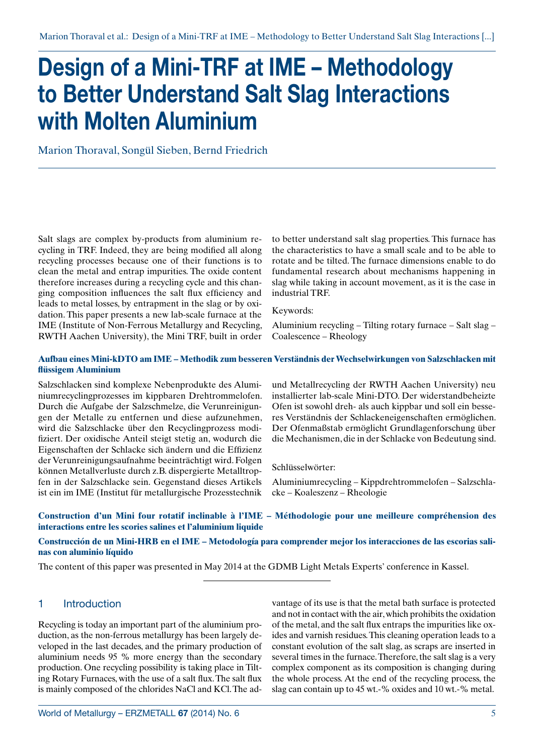# **Design of a Mini-TRF at IME – Methodology to Better Understand Salt Slag Interactions with Molten Aluminium**

Marion Thoraval, Songül Sieben, Bernd Friedrich

Salt slags are complex by-products from aluminium recycling in TRF. Indeed, they are being modified all along recycling processes because one of their functions is to clean the metal and entrap impurities. The oxide content therefore increases during a recycling cycle and this changing composition influences the salt flux efficiency and leads to metal losses, by entrapment in the slag or by oxidation. This paper presents a new lab-scale furnace at the IME (Institute of Non-Ferrous Metallurgy and Recycling, RWTH Aachen University), the Mini TRF, built in order

to better understand salt slag properties. This furnace has the characteristics to have a small scale and to be able to rotate and be tilted. The furnace dimensions enable to do fundamental research about mechanisms happening in slag while taking in account movement, as it is the case in industrial TRF.

Keywords:

Aluminium recycling – Tilting rotary furnace – Salt slag – Coalescence – Rheology

#### **Aufbau eines Mini-kDTO am IME – Methodik zum besseren Verständnis der Wechselwirkungen von Salzschlacken mit flüssigem Aluminium**

Salzschlacken sind komplexe Nebenprodukte des Aluminiumrecyclingprozesses im kippbaren Drehtrommelofen. Durch die Aufgabe der Salzschmelze, die Verunreinigungen der Metalle zu entfernen und diese aufzunehmen, wird die Salzschlacke über den Recyclingprozess modifiziert. Der oxidische Anteil steigt stetig an, wodurch die Eigenschaften der Schlacke sich ändern und die Effizienz der Verunreinigungsaufnahme beeinträchtigt wird. Folgen können Metallverluste durch z.B. dispergierte Metalltropfen in der Salzschlacke sein. Gegenstand dieses Artikels ist ein im IME (Institut für metallurgische Prozesstechnik

und Metallrecycling der RWTH Aachen University) neu installierter lab-scale Mini-DTO. Der widerstandbeheizte Ofen ist sowohl dreh- als auch kippbar und soll ein besseres Verständnis der Schlackeneigenschaften ermöglichen. Der Ofenmaßstab ermöglicht Grundlagenforschung über die Mechanismen, die in der Schlacke von Bedeutung sind.

Schlüsselwörter:

Aluminiumrecycling – Kippdrehtrommelofen – Salzschlacke – Koaleszenz – Rheologie

### **Construction d'un Mini four rotatif inclinable à l'IME – Méthodologie pour une meilleure compréhension des interactions entre les scories salines et l'aluminium liquide**

**Construcción de un Mini-HRB en el IME – Metodología para comprender mejor los interacciones de las escorias salinas con aluminio líquido**

The content of this paper was presented in May 2014 at the GDMB Light Metals Experts' conference in Kassel.

# 1 Introduction

Recycling is today an important part of the aluminium production, as the non-ferrous metallurgy has been largely developed in the last decades, and the primary production of aluminium needs 95 % more energy than the secondary production. One recycling possibility is taking place in Tilting Rotary Furnaces, with the use of a salt flux. The salt flux is mainly composed of the chlorides NaCl and KCl. The advantage of its use is that the metal bath surface is protected and not in contact with the air, which prohibits the oxidation of the metal, and the salt flux entraps the impurities like oxides and varnish residues. This cleaning operation leads to a constant evolution of the salt slag, as scraps are inserted in several times in the furnace. Therefore, the salt slag is a very complex component as its composition is changing during the whole process. At the end of the recycling process, the slag can contain up to 45 wt.-% oxides and 10 wt.-% metal.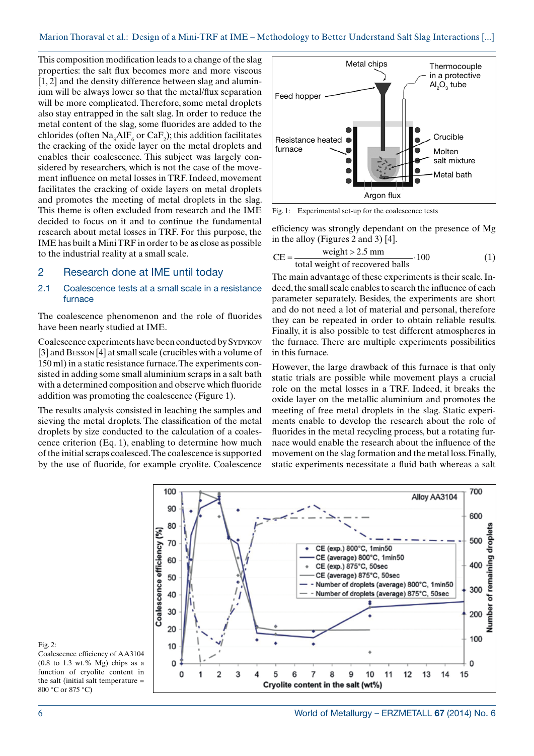This composition modification leads to a change of the slag properties: the salt flux becomes more and more viscous [1, 2] and the density difference between slag and aluminium will be always lower so that the metal/flux separation will be more complicated. Therefore, some metal droplets also stay entrapped in the salt slag. In order to reduce the metal content of the slag, some fluorides are added to the chlorides (often  $\text{Na}_3\text{AlF}_6$  or  $\text{CaF}_2$ ); this addition facilitates the cracking of the oxide layer on the metal droplets and enables their coalescence. This subject was largely considered by researchers, which is not the case of the movement influence on metal losses in TRF. Indeed, movement facilitates the cracking of oxide layers on metal droplets and promotes the meeting of metal droplets in the slag. This theme is often excluded from research and the IME decided to focus on it and to continue the fundamental research about metal losses in TRF. For this purpose, the IME has built a Mini TRF in order to be as close as possible to the industrial reality at a small scale.

#### 2 Research done at IME until today

#### 2.1 Coalescence tests at a small scale in a resistance furnace

The coalescence phenomenon and the role of fluorides have been nearly studied at IME.

Coalescence experiments have been conducted by SYDYKOV [3] and Besson [4] at small scale (crucibles with a volume of 150 ml) in a static resistance furnace. The experiments consisted in adding some small aluminium scraps in a salt bath with a determined composition and observe which fluoride addition was promoting the coalescence (Figure 1).

The results analysis consisted in leaching the samples and sieving the metal droplets. The classification of the metal droplets by size conducted to the calculation of a coalescence criterion (Eq. 1), enabling to determine how much of the initial scraps coalesced. The coalescence is supported by the use of fluoride, for example cryolite. Coalescence



Fig. 1: Experimental set-up for the coalescence tests

efficiency was strongly dependant on the presence of Mg in the alloy (Figures 2 and 3) [4].

$$
CE = \frac{\text{weight} > 2.5 \text{ mm}}{\text{total weight of recovered balls}} \cdot 100 \tag{1}
$$

The main advantage of these experiments is their scale. Indeed, the small scale enables to search the influence of each parameter separately. Besides, the experiments are short and do not need a lot of material and personal, therefore they can be repeated in order to obtain reliable results. Finally, it is also possible to test different atmospheres in the furnace. There are multiple experiments possibilities in this furnace.

However, the large drawback of this furnace is that only static trials are possible while movement plays a crucial role on the metal losses in a TRF. Indeed, it breaks the oxide layer on the metallic aluminium and promotes the meeting of free metal droplets in the slag. Static experiments enable to develop the research about the role of fluorides in the metal recycling process, but a rotating furnace would enable the research about the influence of the movement on the slag formation and the metal loss. Finally, static experiments necessitate a fluid bath whereas a salt



Fig. 2:

Coalescence efficiency of AA3104  $(0.8 \text{ to } 1.3 \text{ wt. % Mg})$  chips as a function of cryolite content in the salt (initial salt temperature  $=$ 800 °C or 875 °C)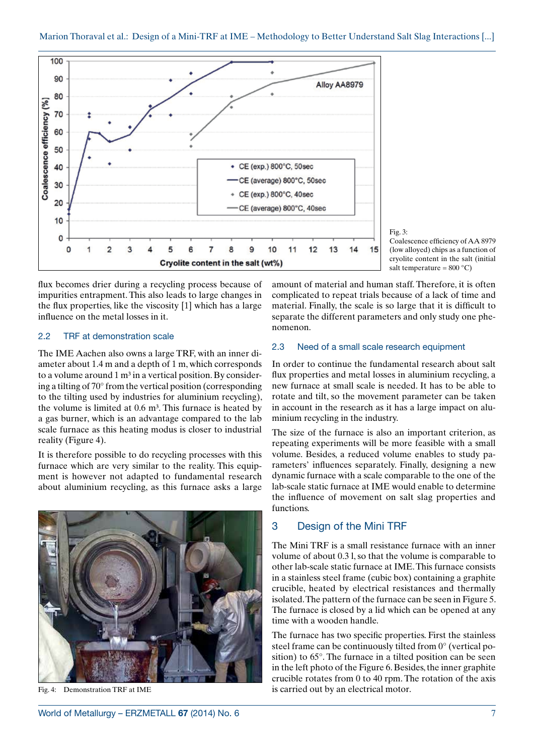

Fig. 3:

Coalescence efficiency of AA 8979 (low alloyed) chips as a function of cryolite content in the salt (initial salt temperature =  $800 °C$ )

flux becomes drier during a recycling process because of impurities entrapment. This also leads to large changes in the flux properties, like the viscosity [1] which has a large influence on the metal losses in it.

#### 2.2 TRF at demonstration scale

The IME Aachen also owns a large TRF, with an inner diameter about 1.4 m and a depth of 1 m, which corresponds to a volume around  $1 \text{ m}^3$  in a vertical position. By considering a tilting of 70° from the vertical position (corresponding to the tilting used by industries for aluminium recycling), the volume is limited at  $0.6$  m<sup>3</sup>. This furnace is heated by a gas burner, which is an advantage compared to the lab scale furnace as this heating modus is closer to industrial reality (Figure 4).

It is therefore possible to do recycling processes with this furnace which are very similar to the reality. This equipment is however not adapted to fundamental research about aluminium recycling, as this furnace asks a large



Fig. 4: Demonstration TRF at IME

amount of material and human staff. Therefore, it is often complicated to repeat trials because of a lack of time and material. Finally, the scale is so large that it is difficult to separate the different parameters and only study one phenomenon.

#### 2.3 Need of a small scale research equipment

In order to continue the fundamental research about salt flux properties and metal losses in aluminium recycling, a new furnace at small scale is needed. It has to be able to rotate and tilt, so the movement parameter can be taken in account in the research as it has a large impact on aluminium recycling in the industry.

The size of the furnace is also an important criterion, as repeating experiments will be more feasible with a small volume. Besides, a reduced volume enables to study parameters' influences separately. Finally, designing a new dynamic furnace with a scale comparable to the one of the lab-scale static furnace at IME would enable to determine the influence of movement on salt slag properties and functions.

#### 3 Design of the Mini TRF

The Mini TRF is a small resistance furnace with an inner volume of about 0.3 l, so that the volume is comparable to other lab-scale static furnace at IME. This furnace consists in a stainless steel frame (cubic box) containing a graphite crucible, heated by electrical resistances and thermally isolated. The pattern of the furnace can be seen in Figure 5. The furnace is closed by a lid which can be opened at any time with a wooden handle.

The furnace has two specific properties. First the stainless steel frame can be continuously tilted from 0° (vertical position) to 65°. The furnace in a tilted position can be seen in the left photo of the Figure 6. Besides, the inner graphite crucible rotates from 0 to 40 rpm. The rotation of the axis is carried out by an electrical motor.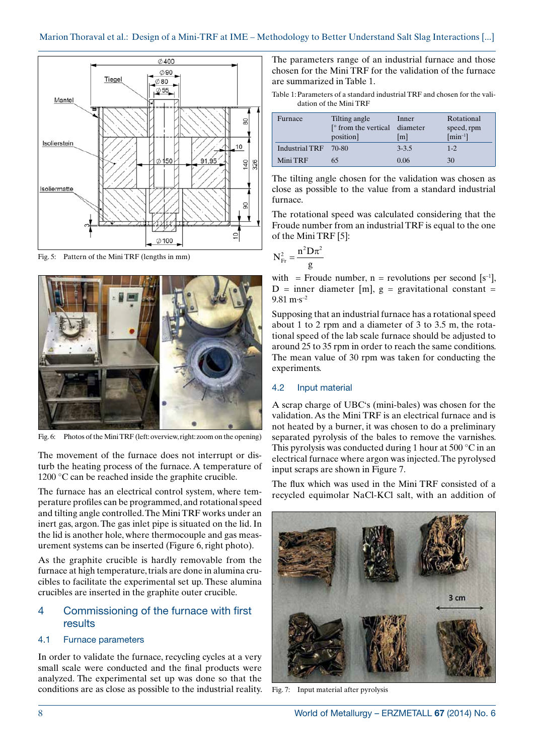

Fig. 5: Pattern of the Mini TRF (lengths in mm)



Fig. 6: Photos of the Mini TRF (left: overview, right: zoom on the opening)

The movement of the furnace does not interrupt or disturb the heating process of the furnace. A temperature of 1200 °C can be reached inside the graphite crucible.

The furnace has an electrical control system, where temperature profiles can be programmed, and rotational speed and tilting angle controlled. The Mini TRF works under an inert gas, argon. The gas inlet pipe is situated on the lid. In the lid is another hole, where thermocouple and gas measurement systems can be inserted (Figure 6, right photo).

As the graphite crucible is hardly removable from the furnace at high temperature, trials are done in alumina crucibles to facilitate the experimental set up. These alumina crucibles are inserted in the graphite outer crucible.

# 4 Commissioning of the furnace with first results

#### 4.1 Furnace parameters

In order to validate the furnace, recycling cycles at a very small scale were conducted and the final products were analyzed. The experimental set up was done so that the conditions are as close as possible to the industrial reality. The parameters range of an industrial furnace and those chosen for the Mini TRF for the validation of the furnace are summarized in Table 1.

Table 1:Parameters of a standard industrial TRF and chosen for the validation of the Mini TRF

| Furnace        | Tilting angle<br>$\lceil$ from the vertical diameter<br>position] | Inner<br>$\lceil m \rceil$ | Rotational<br>speed, rpm<br>$\lceil \min^{-1} \rceil$ |
|----------------|-------------------------------------------------------------------|----------------------------|-------------------------------------------------------|
| Industrial TRF | 70-80                                                             | $3 - 3.5$                  | $1 - 2$                                               |
| Mini TRF       | 65                                                                | 0.06                       | 30                                                    |

The tilting angle chosen for the validation was chosen as close as possible to the value from a standard industrial furnace.

The rotational speed was calculated considering that the Froude number from an industrial TRF is equal to the one of the Mini TRF [5]:

$$
N_{\rm Fr}^2 = \frac{n^2 D \pi^2}{g}
$$

with = Froude number,  $n =$  revolutions per second  $[s^{-1}]$ ,  $D =$  inner diameter [m],  $g =$  gravitational constant =  $9.81 \text{ m} \cdot \text{s}^{-2}$ 

Supposing that an industrial furnace has a rotational speed about 1 to 2 rpm and a diameter of 3 to 3.5 m, the rotational speed of the lab scale furnace should be adjusted to around 25 to 35 rpm in order to reach the same conditions. The mean value of 30 rpm was taken for conducting the experiments.

#### 4.2 Input material

A scrap charge of UBC's (mini-bales) was chosen for the validation. As the Mini TRF is an electrical furnace and is not heated by a burner, it was chosen to do a preliminary separated pyrolysis of the bales to remove the varnishes. This pyrolysis was conducted during 1 hour at 500 °C in an electrical furnace where argon was injected. The pyrolysed input scraps are shown in Figure 7.

The flux which was used in the Mini TRF consisted of a recycled equimolar NaCl-KCl salt, with an addition of



Fig. 7: Input material after pyrolysis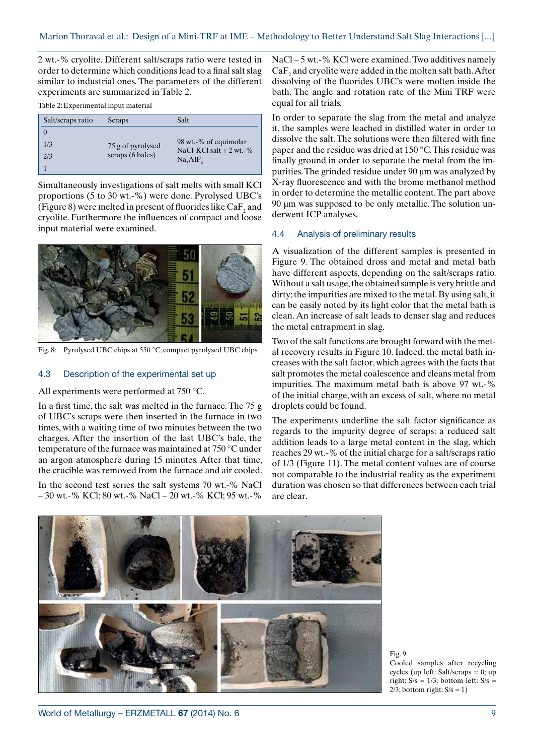2 wt.-% cryolite. Different salt/scraps ratio were tested in order to determine which conditions lead to a final salt slag similar to industrial ones. The parameters of the different experiments are summarized in Table 2.

Table 2:Experimental input material

| Salt/scraps ratio | Scraps                                | Salt                                                         |  |
|-------------------|---------------------------------------|--------------------------------------------------------------|--|
|                   |                                       |                                                              |  |
| 1/3               | 75 g of pyrolysed<br>scraps (6 bales) | 98 wt.-% of equimolar                                        |  |
| 2/3               |                                       | NaCl-KCl salt $+2$ wt.-%<br>Na <sub>2</sub> AIF <sub>6</sub> |  |
|                   |                                       |                                                              |  |

Simultaneously investigations of salt melts with small KCl proportions (5 to 30 wt.-%) were done. Pyrolysed UBC's (Figure 8) were melted in present of fluorides like  $\operatorname{CaF}_2$  and cryolite. Furthermore the influences of compact and loose input material were examined.



Fig. 8: Pyrolysed UBC chips at 550 °C, compact pyrolysed UBC chips

## 4.3 Description of the experimental set up

#### All experiments were performed at 750 °C.

In a first time, the salt was melted in the furnace. The 75 g of UBC's scraps were then inserted in the furnace in two times, with a waiting time of two minutes between the two charges. After the insertion of the last UBC's bale, the temperature of the furnace was maintained at 750 °C under an argon atmosphere during 15 minutes. After that time, the crucible was removed from the furnace and air cooled.

In the second test series the salt systems 70 wt.-% NaCl – 30 wt.-% KCl; 80 wt.-% NaCl – 20 wt.-% KCl; 95 wt.-%

NaCl – 5 wt.-% KCl were examined. Two additives namely  $\rm CaF_2$  and cryolite were added in the molten salt bath. After dissolving of the fluorides UBC's were molten inside the bath. The angle and rotation rate of the Mini TRF were equal for all trials.

In order to separate the slag from the metal and analyze it, the samples were leached in distilled water in order to dissolve the salt. The solutions were then filtered with fine paper and the residue was dried at 150 °C. This residue was finally ground in order to separate the metal from the impurities. The grinded residue under 90 µm was analyzed by X-ray fluorescence and with the brome methanol method in order to determine the metallic content. The part above 90 µm was supposed to be only metallic. The solution underwent ICP analyses.

#### 4.4 Analysis of preliminary results

A visualization of the different samples is presented in Figure 9. The obtained dross and metal and metal bath have different aspects, depending on the salt/scraps ratio. Without a salt usage, the obtained sample is very brittle and dirty; the impurities are mixed to the metal. By using salt, it can be easily noted by its light color that the metal bath is clean. An increase of salt leads to denser slag and reduces the metal entrapment in slag.

Two of the salt functions are brought forward with the metal recovery results in Figure 10. Indeed, the metal bath increases with the salt factor, which agrees with the facts that salt promotes the metal coalescence and cleans metal from impurities. The maximum metal bath is above 97 wt.-% of the initial charge, with an excess of salt, where no metal droplets could be found.

The experiments underline the salt factor significance as regards to the impurity degree of scraps: a reduced salt addition leads to a large metal content in the slag, which reaches 29 wt.-% of the initial charge for a salt/scraps ratio of 1/3 (Figure 11). The metal content values are of course not comparable to the industrial reality as the experiment duration was chosen so that differences between each trial are clear.



Fig. 9: Cooled samples after recycling cycles (up left: Salt/scraps = 0; up right:  $S/s = 1/3$ ; bottom left:  $S/s =$  $2/3$ ; bottom right:  $S/s = 1$ )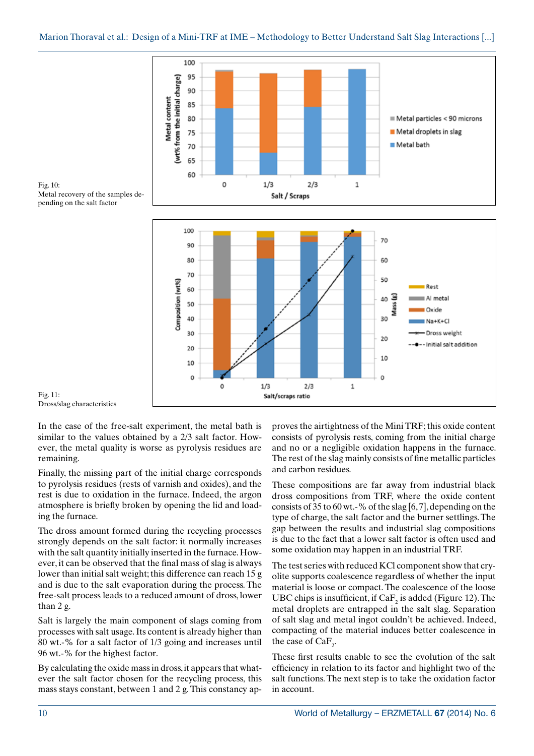

Fig. 10: Metal recovery of the samples depending on the salt factor



Fig. 11: Dross/slag characteristics

In the case of the free-salt experiment, the metal bath is similar to the values obtained by a 2/3 salt factor. However, the metal quality is worse as pyrolysis residues are remaining.

Finally, the missing part of the initial charge corresponds to pyrolysis residues (rests of varnish and oxides), and the rest is due to oxidation in the furnace. Indeed, the argon atmosphere is briefly broken by opening the lid and loading the furnace.

The dross amount formed during the recycling processes strongly depends on the salt factor: it normally increases with the salt quantity initially inserted in the furnace. However, it can be observed that the final mass of slag is always lower than initial salt weight; this difference can reach 15 g and is due to the salt evaporation during the process. The free-salt process leads to a reduced amount of dross, lower than 2 g.

Salt is largely the main component of slags coming from processes with salt usage. Its content is already higher than 80 wt.-% for a salt factor of 1/3 going and increases until 96 wt.-% for the highest factor.

By calculating the oxide mass in dross, it appears that whatever the salt factor chosen for the recycling process, this mass stays constant, between 1 and 2 g. This constancy approves the airtightness of the Mini TRF; this oxide content consists of pyrolysis rests, coming from the initial charge and no or a negligible oxidation happens in the furnace. The rest of the slag mainly consists of fine metallic particles and carbon residues.

These compositions are far away from industrial black dross compositions from TRF, where the oxide content consists of 35 to 60 wt.-% of the slag [6, 7], depending on the type of charge, the salt factor and the burner settlings. The gap between the results and industrial slag compositions is due to the fact that a lower salt factor is often used and some oxidation may happen in an industrial TRF.

The test series with reduced KCl component show that cryolite supports coalescence regardless of whether the input material is loose or compact. The coalescence of the loose UBC chips is insufficient, if  $CaF<sub>2</sub>$  is added (Figure 12). The metal droplets are entrapped in the salt slag. Separation of salt slag and metal ingot couldn't be achieved. Indeed, compacting of the material induces better coalescence in the case of  $CaF_2$ .

These first results enable to see the evolution of the salt efficiency in relation to its factor and highlight two of the salt functions. The next step is to take the oxidation factor in account.